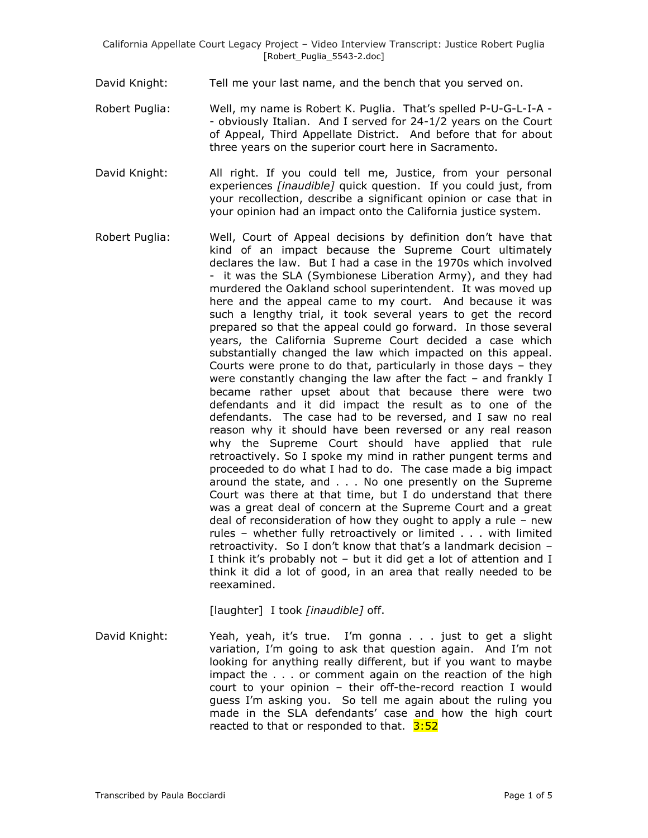- David Knight: Tell me your last name, and the bench that you served on.
- Robert Puglia: Well, my name is Robert K. Puglia. That's spelled P-U-G-L-I-A -- obviously Italian. And I served for 24-1/2 years on the Court of Appeal, Third Appellate District. And before that for about three years on the superior court here in Sacramento.
- David Knight: All right. If you could tell me, Justice, from your personal experiences *[inaudible]* quick question. If you could just, from your recollection, describe a significant opinion or case that in your opinion had an impact onto the California justice system.
- Robert Puglia: Well, Court of Appeal decisions by definition don"t have that kind of an impact because the Supreme Court ultimately declares the law. But I had a case in the 1970s which involved - it was the SLA (Symbionese Liberation Army), and they had murdered the Oakland school superintendent. It was moved up here and the appeal came to my court. And because it was such a lengthy trial, it took several years to get the record prepared so that the appeal could go forward. In those several years, the California Supreme Court decided a case which substantially changed the law which impacted on this appeal. Courts were prone to do that, particularly in those days – they were constantly changing the law after the fact – and frankly I became rather upset about that because there were two defendants and it did impact the result as to one of the defendants. The case had to be reversed, and I saw no real reason why it should have been reversed or any real reason why the Supreme Court should have applied that rule retroactively. So I spoke my mind in rather pungent terms and proceeded to do what I had to do. The case made a big impact around the state, and . . . No one presently on the Supreme Court was there at that time, but I do understand that there was a great deal of concern at the Supreme Court and a great deal of reconsideration of how they ought to apply a rule – new rules – whether fully retroactively or limited . . . with limited retroactivity. So I don"t know that that"s a landmark decision – I think it's probably not - but it did get a lot of attention and I think it did a lot of good, in an area that really needed to be reexamined.

[laughter] I took *[inaudible]* off.

David Knight: Yeah, yeah, it's true. I'm gonna . . . just to get a slight variation, I'm going to ask that question again. And I'm not looking for anything really different, but if you want to maybe impact the . . . or comment again on the reaction of the high court to your opinion – their off-the-record reaction I would guess I"m asking you. So tell me again about the ruling you made in the SLA defendants' case and how the high court reacted to that or responded to that.  $3:52$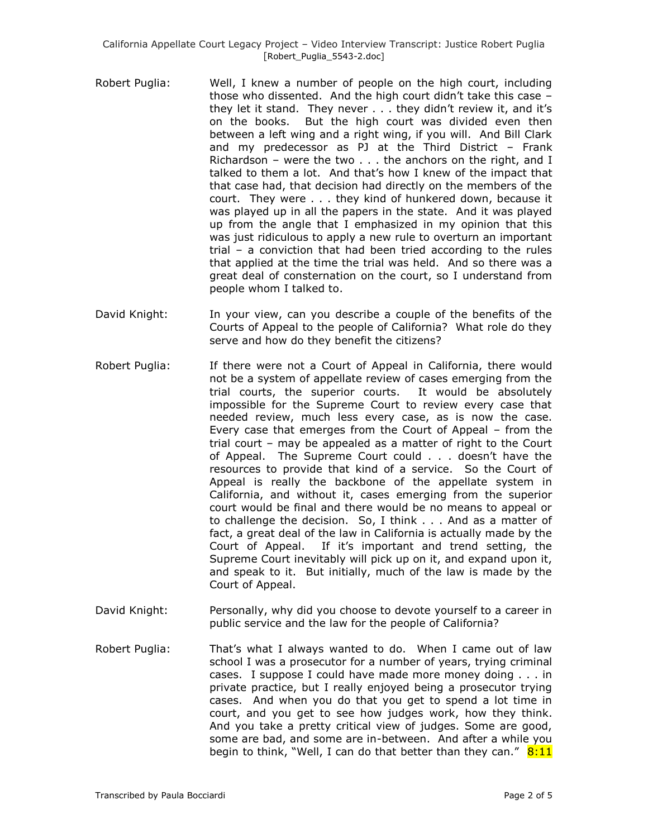- Robert Puglia: Well, I knew a number of people on the high court, including those who dissented. And the high court didn"t take this case – they let it stand. They never . . . they didn"t review it, and it"s on the books. But the high court was divided even then between a left wing and a right wing, if you will. And Bill Clark and my predecessor as PJ at the Third District – Frank Richardson – were the two . . . the anchors on the right, and I talked to them a lot. And that's how I knew of the impact that that case had, that decision had directly on the members of the court. They were . . . they kind of hunkered down, because it was played up in all the papers in the state. And it was played up from the angle that I emphasized in my opinion that this was just ridiculous to apply a new rule to overturn an important trial – a conviction that had been tried according to the rules that applied at the time the trial was held. And so there was a great deal of consternation on the court, so I understand from people whom I talked to.
- David Knight: In your view, can you describe a couple of the benefits of the Courts of Appeal to the people of California? What role do they serve and how do they benefit the citizens?
- Robert Puglia: If there were not a Court of Appeal in California, there would not be a system of appellate review of cases emerging from the trial courts, the superior courts. It would be absolutely impossible for the Supreme Court to review every case that needed review, much less every case, as is now the case. Every case that emerges from the Court of Appeal – from the trial court – may be appealed as a matter of right to the Court of Appeal. The Supreme Court could . . . doesn"t have the resources to provide that kind of a service. So the Court of Appeal is really the backbone of the appellate system in California, and without it, cases emerging from the superior court would be final and there would be no means to appeal or to challenge the decision. So, I think . . . And as a matter of fact, a great deal of the law in California is actually made by the Court of Appeal. If it"s important and trend setting, the Supreme Court inevitably will pick up on it, and expand upon it, and speak to it. But initially, much of the law is made by the Court of Appeal.
- David Knight: Personally, why did you choose to devote yourself to a career in public service and the law for the people of California?
- Robert Puglia: That"s what I always wanted to do. When I came out of law school I was a prosecutor for a number of years, trying criminal cases. I suppose I could have made more money doing . . . in private practice, but I really enjoyed being a prosecutor trying cases. And when you do that you get to spend a lot time in court, and you get to see how judges work, how they think. And you take a pretty critical view of judges. Some are good, some are bad, and some are in-between. And after a while you begin to think, "Well, I can do that better than they can."  $8:11$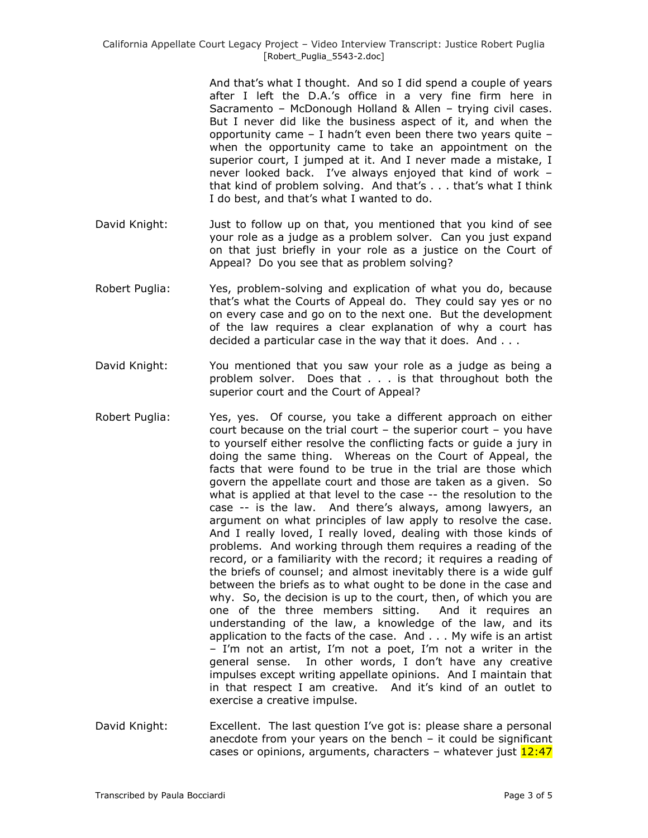And that"s what I thought. And so I did spend a couple of years after I left the D.A."s office in a very fine firm here in Sacramento – McDonough Holland & Allen – trying civil cases. But I never did like the business aspect of it, and when the opportunity came  $-$  I hadn't even been there two years quite  $$ when the opportunity came to take an appointment on the superior court, I jumped at it. And I never made a mistake, I never looked back. I"ve always enjoyed that kind of work – that kind of problem solving. And that"s . . . that"s what I think I do best, and that"s what I wanted to do.

- David Knight: Just to follow up on that, you mentioned that you kind of see your role as a judge as a problem solver. Can you just expand on that just briefly in your role as a justice on the Court of Appeal? Do you see that as problem solving?
- Robert Puglia: Yes, problem-solving and explication of what you do, because that"s what the Courts of Appeal do. They could say yes or no on every case and go on to the next one. But the development of the law requires a clear explanation of why a court has decided a particular case in the way that it does. And . . .
- David Knight: You mentioned that you saw your role as a judge as being a problem solver. Does that . . . is that throughout both the superior court and the Court of Appeal?
- Robert Puglia: Yes, yes. Of course, you take a different approach on either court because on the trial court  $-$  the superior court  $-$  you have to yourself either resolve the conflicting facts or guide a jury in doing the same thing. Whereas on the Court of Appeal, the facts that were found to be true in the trial are those which govern the appellate court and those are taken as a given. So what is applied at that level to the case -- the resolution to the case -- is the law. And there"s always, among lawyers, an argument on what principles of law apply to resolve the case. And I really loved, I really loved, dealing with those kinds of problems. And working through them requires a reading of the record, or a familiarity with the record; it requires a reading of the briefs of counsel; and almost inevitably there is a wide gulf between the briefs as to what ought to be done in the case and why. So, the decision is up to the court, then, of which you are one of the three members sitting. And it requires an understanding of the law, a knowledge of the law, and its application to the facts of the case. And . . . My wife is an artist – I"m not an artist, I"m not a poet, I"m not a writer in the general sense. In other words, I don"t have any creative impulses except writing appellate opinions. And I maintain that in that respect I am creative. And it's kind of an outlet to exercise a creative impulse.
- David Knight: Excellent. The last question I've got is: please share a personal anecdote from your years on the bench – it could be significant cases or opinions, arguments, characters – whatever just 12:47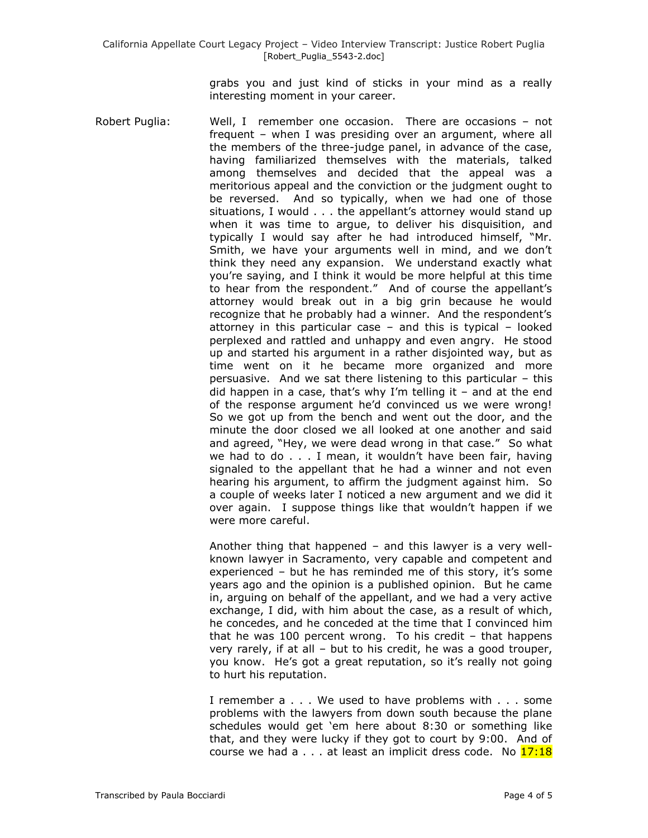grabs you and just kind of sticks in your mind as a really interesting moment in your career.

Robert Puglia: Well, I remember one occasion. There are occasions – not frequent – when I was presiding over an argument, where all the members of the three-judge panel, in advance of the case, having familiarized themselves with the materials, talked among themselves and decided that the appeal was a meritorious appeal and the conviction or the judgment ought to be reversed. And so typically, when we had one of those situations, I would . . . the appellant's attorney would stand up when it was time to argue, to deliver his disquisition, and typically I would say after he had introduced himself, "Mr. Smith, we have your arguments well in mind, and we don't think they need any expansion. We understand exactly what you"re saying, and I think it would be more helpful at this time to hear from the respondent." And of course the appellant's attorney would break out in a big grin because he would recognize that he probably had a winner. And the respondent"s attorney in this particular case – and this is typical – looked perplexed and rattled and unhappy and even angry. He stood up and started his argument in a rather disjointed way, but as time went on it he became more organized and more persuasive. And we sat there listening to this particular – this did happen in a case, that's why I'm telling it  $-$  and at the end of the response argument he"d convinced us we were wrong! So we got up from the bench and went out the door, and the minute the door closed we all looked at one another and said and agreed, "Hey, we were dead wrong in that case." So what we had to do . . . I mean, it wouldn"t have been fair, having signaled to the appellant that he had a winner and not even hearing his argument, to affirm the judgment against him. So a couple of weeks later I noticed a new argument and we did it over again. I suppose things like that wouldn"t happen if we were more careful.

> Another thing that happened – and this lawyer is a very wellknown lawyer in Sacramento, very capable and competent and experienced – but he has reminded me of this story, it's some years ago and the opinion is a published opinion. But he came in, arguing on behalf of the appellant, and we had a very active exchange, I did, with him about the case, as a result of which, he concedes, and he conceded at the time that I convinced him that he was 100 percent wrong. To his credit – that happens very rarely, if at all – but to his credit, he was a good trouper, you know. He"s got a great reputation, so it"s really not going to hurt his reputation.

> I remember a . . . We used to have problems with . . . some problems with the lawyers from down south because the plane schedules would get 'em here about 8:30 or something like that, and they were lucky if they got to court by 9:00. And of course we had a  $\dots$  at least an implicit dress code. No  $17:18$